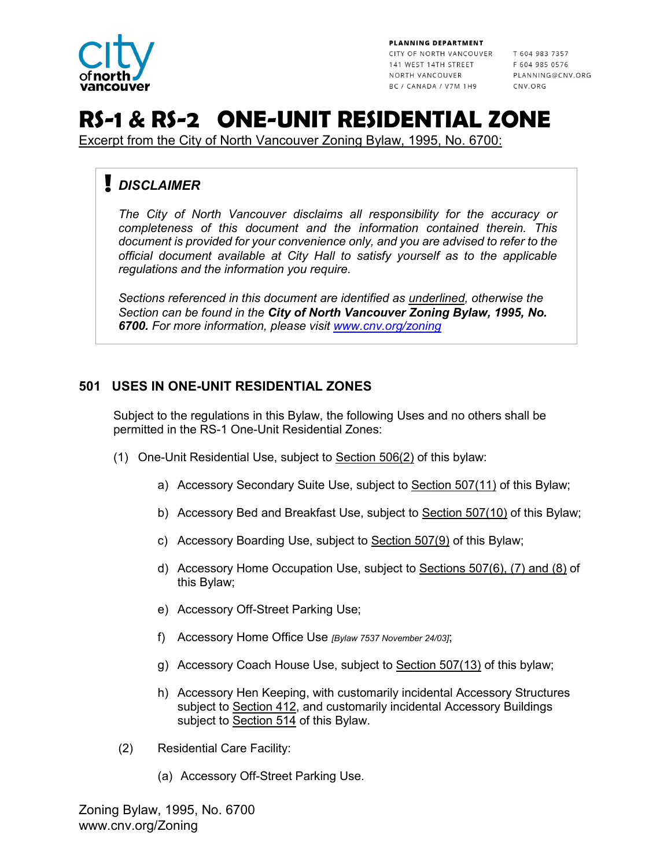

PLANNING DEPARTMENT

CITY OF NORTH VANCOUVER T 604 983 7357 141 WEST 14TH STREET F 604 985 0576 NORTH VANCOUVER BC / CANADA / V7M 1H9

PLANNING@CNV.ORG CNV ORG

# **RS-1 & RS-2 ONE-UNIT RESIDENTIAL ZONE**

Excerpt from the City of North Vancouver Zoning Bylaw, 1995, No. 6700:

# *DISCLAIMER*

*The City of North Vancouver disclaims all responsibility for the accuracy or completeness of this document and the information contained therein. This document is provided for your convenience only, and you are advised to refer to the official document available at City Hall to satisfy yourself as to the applicable regulations and the information you require.*

*Sections referenced in this document are identified as underlined, otherwise the Section can be found in the City of North Vancouver Zoning Bylaw, 1995, No. 6700. For more information, please visit [www.cnv.org/zoning](http://www.cnv.org/zoning)* 

# **501 USES IN ONE-UNIT RESIDENTIAL ZONES**

Subject to the regulations in this Bylaw, the following Uses and no others shall be permitted in the RS-1 One-Unit Residential Zones:

- (1) One-Unit Residential Use, subject to Section 506(2) of this bylaw:
	- a) Accessory Secondary Suite Use, subject to Section 507(11) of this Bylaw;
	- b) Accessory Bed and Breakfast Use, subject to Section 507(10) of this Bylaw;
	- c) Accessory Boarding Use, subject to Section 507(9) of this Bylaw;
	- d) Accessory Home Occupation Use, subject to Sections 507(6), (7) and (8) of this Bylaw;
	- e) Accessory Off-Street Parking Use;
	- f) Accessory Home Office Use *[Bylaw 7537 November 24/03]*;
	- g) Accessory Coach House Use, subject to Section 507(13) of this bylaw;
	- h) Accessory Hen Keeping, with customarily incidental Accessory Structures subject to Section 412, and customarily incidental Accessory Buildings subject to Section 514 of this Bylaw.
- (2) Residential Care Facility:
	- (a) Accessory Off-Street Parking Use.

Zoning Bylaw, 1995, No. 6700 www.cnv.org/Zoning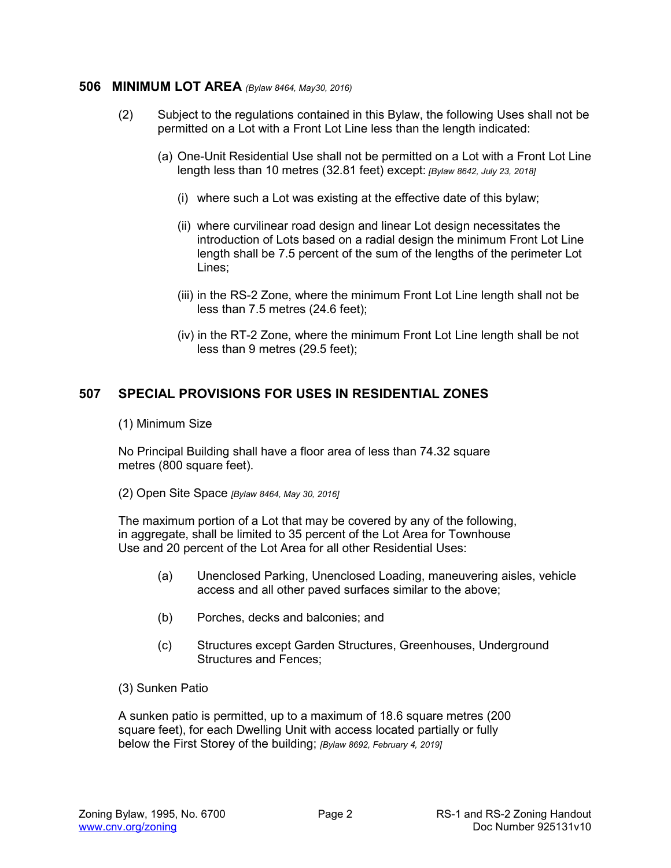#### **506 MINIMUM LOT AREA** *(Bylaw 8464, May30, 2016)*

- (2) Subject to the regulations contained in this Bylaw, the following Uses shall not be permitted on a Lot with a Front Lot Line less than the length indicated:
	- (a) One-Unit Residential Use shall not be permitted on a Lot with a Front Lot Line length less than 10 metres (32.81 feet) except: *[Bylaw 8642, July 23, 2018]*
		- (i) where such a Lot was existing at the effective date of this bylaw;
		- (ii) where curvilinear road design and linear Lot design necessitates the introduction of Lots based on a radial design the minimum Front Lot Line length shall be 7.5 percent of the sum of the lengths of the perimeter Lot Lines;
		- (iii) in the RS-2 Zone, where the minimum Front Lot Line length shall not be less than 7.5 metres (24.6 feet);
		- (iv) in the RT-2 Zone, where the minimum Front Lot Line length shall be not less than 9 metres (29.5 feet);

## **507 SPECIAL PROVISIONS FOR USES IN RESIDENTIAL ZONES**

#### (1) Minimum Size

No Principal Building shall have a floor area of less than 74.32 square metres (800 square feet).

(2) Open Site Space *[Bylaw 8464, May 30, 2016]* 

The maximum portion of a Lot that may be covered by any of the following, in aggregate, shall be limited to 35 percent of the Lot Area for Townhouse Use and 20 percent of the Lot Area for all other Residential Uses:

- (a) Unenclosed Parking, Unenclosed Loading, maneuvering aisles, vehicle access and all other paved surfaces similar to the above;
- (b) Porches, decks and balconies; and
- (c) Structures except Garden Structures, Greenhouses, Underground Structures and Fences;
- (3) Sunken Patio

A sunken patio is permitted, up to a maximum of 18.6 square metres (200 square feet), for each Dwelling Unit with access located partially or fully below the First Storey of the building; *[Bylaw 8692, February 4, 2019]*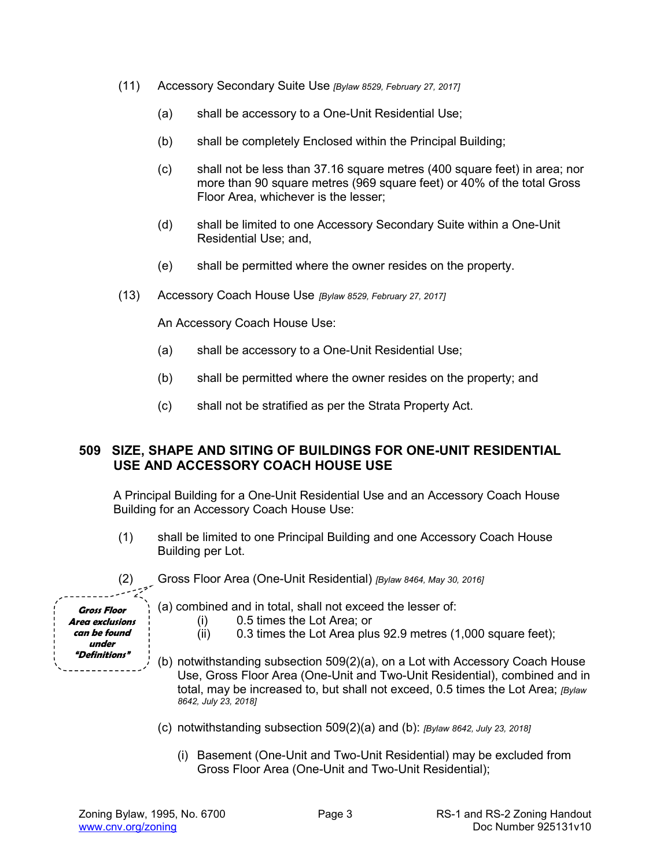- (11) Accessory Secondary Suite Use *[Bylaw 8529, February 27, 2017]*
	- (a) shall be accessory to a One-Unit Residential Use;
	- (b) shall be completely Enclosed within the Principal Building;
	- (c) shall not be less than 37.16 square metres (400 square feet) in area; nor more than 90 square metres (969 square feet) or 40% of the total Gross Floor Area, whichever is the lesser;
	- (d) shall be limited to one Accessory Secondary Suite within a One-Unit Residential Use; and,
	- (e) shall be permitted where the owner resides on the property.
- (13) Accessory Coach House Use *[Bylaw 8529, February 27, 2017]*

An Accessory Coach House Use:

- (a) shall be accessory to a One-Unit Residential Use;
- (b) shall be permitted where the owner resides on the property; and
- (c) shall not be stratified as per the Strata Property Act.

#### **509 SIZE, SHAPE AND SITING OF BUILDINGS FOR ONE-UNIT RESIDENTIAL USE AND ACCESSORY COACH HOUSE USE**

A Principal Building for a One-Unit Residential Use and an Accessory Coach House Building for an Accessory Coach House Use:

- (1) shall be limited to one Principal Building and one Accessory Coach House Building per Lot.
- (2) Gross Floor Area (One-Unit Residential) *[Bylaw 8464, May 30, 2016]*

**Gross Floor Area exclusions can be found under "Definitions"** 

- (a) combined and in total, shall not exceed the lesser of:
	- (i) 0.5 times the Lot Area; or
	- (ii) 0.3 times the Lot Area plus 92.9 metres (1,000 square feet);
- (b) notwithstanding subsection 509(2)(a), on a Lot with Accessory Coach House Use, Gross Floor Area (One-Unit and Two-Unit Residential), combined and in total, may be increased to, but shall not exceed, 0.5 times the Lot Area; *[Bylaw 8642, July 23, 2018]*
- (c) notwithstanding subsection 509(2)(a) and (b): *[Bylaw 8642, July 23, 2018]*
	- (i) Basement (One-Unit and Two-Unit Residential) may be excluded from Gross Floor Area (One-Unit and Two-Unit Residential);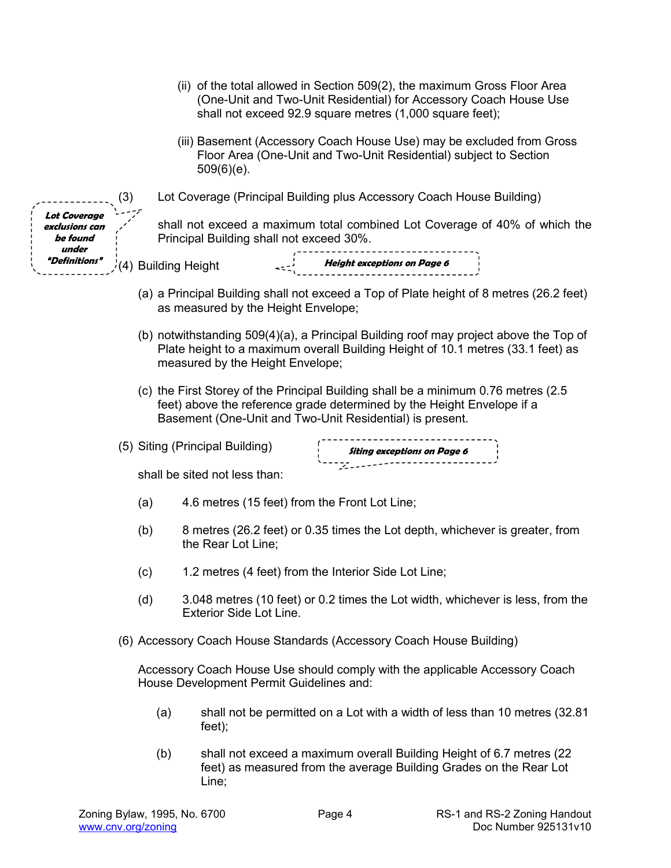|                                                            |     |     |                                          | shall not exceed 92.9 square metres (1,000 square feet);                                                                           | (ii) of the total allowed in Section 509(2), the maximum Gross Floor Area<br>(One-Unit and Two-Unit Residential) for Accessory Coach House Use                           |  |
|------------------------------------------------------------|-----|-----|------------------------------------------|------------------------------------------------------------------------------------------------------------------------------------|--------------------------------------------------------------------------------------------------------------------------------------------------------------------------|--|
|                                                            |     |     | $509(6)(e)$ .                            | Floor Area (One-Unit and Two-Unit Residential) subject to Section                                                                  | (iii) Basement (Accessory Coach House Use) may be excluded from Gross                                                                                                    |  |
|                                                            | (3) |     |                                          | Lot Coverage (Principal Building plus Accessory Coach House Building)                                                              |                                                                                                                                                                          |  |
| <b>Lot Coverage</b><br>exclusions can<br>be found<br>under |     |     | Principal Building shall not exceed 30%. |                                                                                                                                    | shall not exceed a maximum total combined Lot Coverage of 40% of which the                                                                                               |  |
| <i><b><i><u><b>"Definitions"</b></u></i></b></i>           |     |     | $\sqrt{(4)}$ Building Height             | Height exceptions on Page 6                                                                                                        |                                                                                                                                                                          |  |
|                                                            |     |     | as measured by the Height Envelope;      |                                                                                                                                    | (a) a Principal Building shall not exceed a Top of Plate height of 8 metres (26.2 feet)                                                                                  |  |
|                                                            |     |     | measured by the Height Envelope;         |                                                                                                                                    | (b) notwithstanding 509(4)(a), a Principal Building roof may project above the Top of<br>Plate height to a maximum overall Building Height of 10.1 metres (33.1 feet) as |  |
|                                                            |     |     |                                          | feet) above the reference grade determined by the Height Envelope if a<br>Basement (One-Unit and Two-Unit Residential) is present. | (c) the First Storey of the Principal Building shall be a minimum 0.76 metres (2.5                                                                                       |  |
|                                                            |     |     | (5) Siting (Principal Building)          |                                                                                                                                    |                                                                                                                                                                          |  |
|                                                            |     |     |                                          |                                                                                                                                    |                                                                                                                                                                          |  |
|                                                            |     |     | shall be sited not less than:            |                                                                                                                                    |                                                                                                                                                                          |  |
|                                                            | (a) |     |                                          | 4.6 metres (15 feet) from the Front Lot Line;                                                                                      |                                                                                                                                                                          |  |
|                                                            | (b) |     | the Rear Lot Line;                       |                                                                                                                                    | 8 metres (26.2 feet) or 0.35 times the Lot depth, whichever is greater, from                                                                                             |  |
|                                                            | (c) |     |                                          | 1.2 metres (4 feet) from the Interior Side Lot Line;                                                                               |                                                                                                                                                                          |  |
|                                                            | (d) |     | <b>Exterior Side Lot Line.</b>           |                                                                                                                                    | 3.048 metres (10 feet) or 0.2 times the Lot width, whichever is less, from the                                                                                           |  |
|                                                            |     |     |                                          | (6) Accessory Coach House Standards (Accessory Coach House Building)                                                               |                                                                                                                                                                          |  |
|                                                            |     |     | House Development Permit Guidelines and: |                                                                                                                                    | Accessory Coach House Use should comply with the applicable Accessory Coach                                                                                              |  |
|                                                            |     | (a) | feet);                                   |                                                                                                                                    | shall not be permitted on a Lot with a width of less than 10 metres (32.81                                                                                               |  |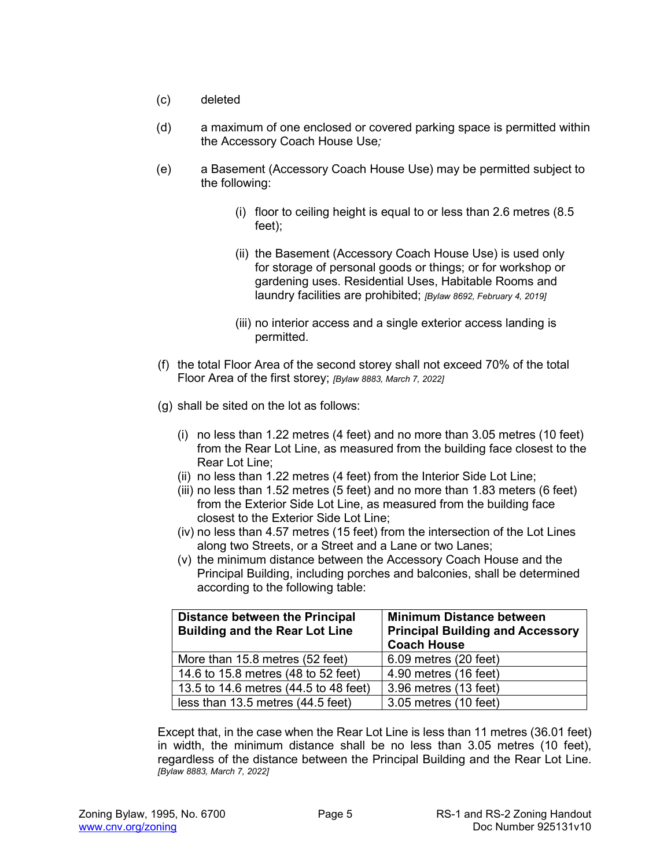- (c) deleted
- (d) a maximum of one enclosed or covered parking space is permitted within the Accessory Coach House Use*;*
- (e) a Basement (Accessory Coach House Use) may be permitted subject to the following:
	- (i) floor to ceiling height is equal to or less than 2.6 metres (8.5 feet);
	- (ii) the Basement (Accessory Coach House Use) is used only for storage of personal goods or things; or for workshop or gardening uses. Residential Uses, Habitable Rooms and laundry facilities are prohibited; *[Bylaw 8692, February 4, 2019]*
	- (iii) no interior access and a single exterior access landing is permitted.
- (f) the total Floor Area of the second storey shall not exceed 70% of the total Floor Area of the first storey; *[Bylaw 8883, March 7, 2022]*
- (g) shall be sited on the lot as follows:
	- (i) no less than 1.22 metres (4 feet) and no more than 3.05 metres (10 feet) from the Rear Lot Line, as measured from the building face closest to the Rear Lot Line;
	- (ii) no less than 1.22 metres (4 feet) from the Interior Side Lot Line;
	- (iii) no less than 1.52 metres (5 feet) and no more than 1.83 meters (6 feet) from the Exterior Side Lot Line, as measured from the building face closest to the Exterior Side Lot Line;
	- (iv) no less than 4.57 metres (15 feet) from the intersection of the Lot Lines along two Streets, or a Street and a Lane or two Lanes;
	- (v) the minimum distance between the Accessory Coach House and the Principal Building, including porches and balconies, shall be determined according to the following table:

| <b>Distance between the Principal</b><br><b>Building and the Rear Lot Line</b> | <b>Minimum Distance between</b><br><b>Principal Building and Accessory</b><br><b>Coach House</b> |  |
|--------------------------------------------------------------------------------|--------------------------------------------------------------------------------------------------|--|
| More than 15.8 metres (52 feet)                                                | 6.09 metres (20 feet)                                                                            |  |
| 14.6 to 15.8 metres (48 to 52 feet)                                            | 4.90 metres (16 feet)                                                                            |  |
| 13.5 to 14.6 metres (44.5 to 48 feet)                                          | 3.96 metres (13 feet)                                                                            |  |
| less than 13.5 metres (44.5 feet)                                              | 3.05 metres (10 feet)                                                                            |  |

Except that, in the case when the Rear Lot Line is less than 11 metres (36.01 feet) in width, the minimum distance shall be no less than 3.05 metres (10 feet), regardless of the distance between the Principal Building and the Rear Lot Line. *[Bylaw 8883, March 7, 2022]*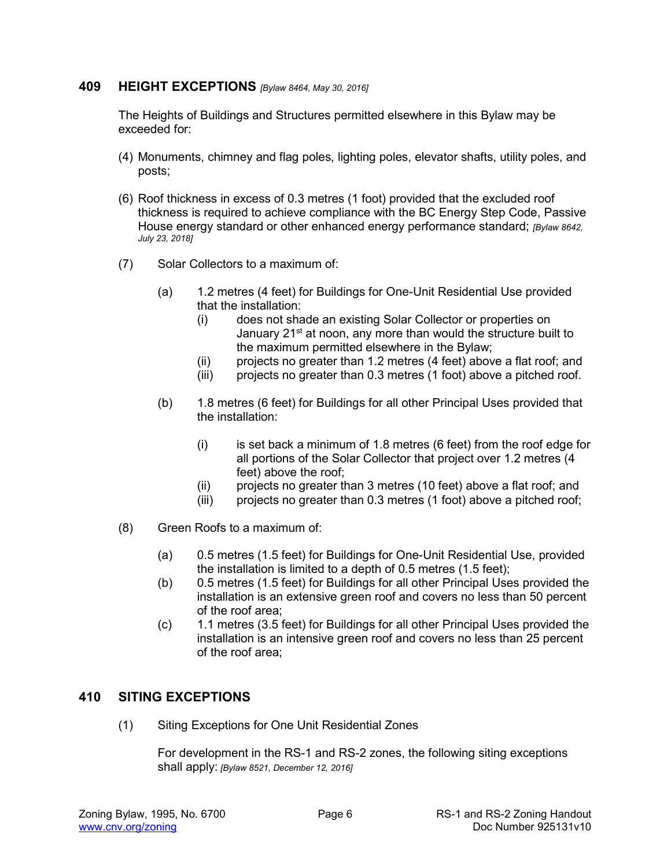#### **409 HEIGHT EXCEPTIONS** *[Bylaw 8464, May 30, 2016]*

The Heights of Buildings and Structures permitted elsewhere in this Bylaw may be exceeded for:

- (4) Monuments, chimney and flag poles, lighting poles, elevator shafts, utility poles, and posts;
- (6) Roof thickness in excess of 0.3 metres (1 foot) provided that the excluded roof thickness is required to achieve compliance with the BC Energy Step Code, Passive House energy standard or other enhanced energy performance standard; *[Bylaw 8642, July 23, 2018]*
- (7) Solar Collectors to a maximum of:
	- (a) 1.2 metres (4 feet) for Buildings for One-Unit Residential Use provided that the installation:
		- (i) does not shade an existing Solar Collector or properties on January 21<sup>st</sup> at noon, any more than would the structure built to the maximum permitted elsewhere in the Bylaw;
		- (ii) projects no greater than 1.2 metres (4 feet) above a flat roof; and
		- (iii) projects no greater than 0.3 metres (1 foot) above a pitched roof.
	- (b) 1.8 metres (6 feet) for Buildings for all other Principal Uses provided that the installation:
		- (i) is set back a minimum of 1.8 metres (6 feet) from the roof edge for all portions of the Solar Collector that project over 1.2 metres (4 feet) above the roof;
		- (ii) projects no greater than 3 metres (10 feet) above a flat roof; and
		- (iii) projects no greater than 0.3 metres (1 foot) above a pitched roof;
- (8) Green Roofs to a maximum of:
	- (a) 0.5 metres (1.5 feet) for Buildings for One-Unit Residential Use, provided the installation is limited to a depth of 0.5 metres (1.5 feet);
	- (b) 0.5 metres (1.5 feet) for Buildings for all other Principal Uses provided the installation is an extensive green roof and covers no less than 50 percent of the roof area;
	- (c) 1.1 metres (3.5 feet) for Buildings for all other Principal Uses provided the installation is an intensive green roof and covers no less than 25 percent of the roof area;

#### **410 SITING EXCEPTIONS**

(1) Siting Exceptions for One Unit Residential Zones

For development in the RS-1 and RS-2 zones, the following siting exceptions shall apply: *[Bylaw 8521, December 12, 2016]*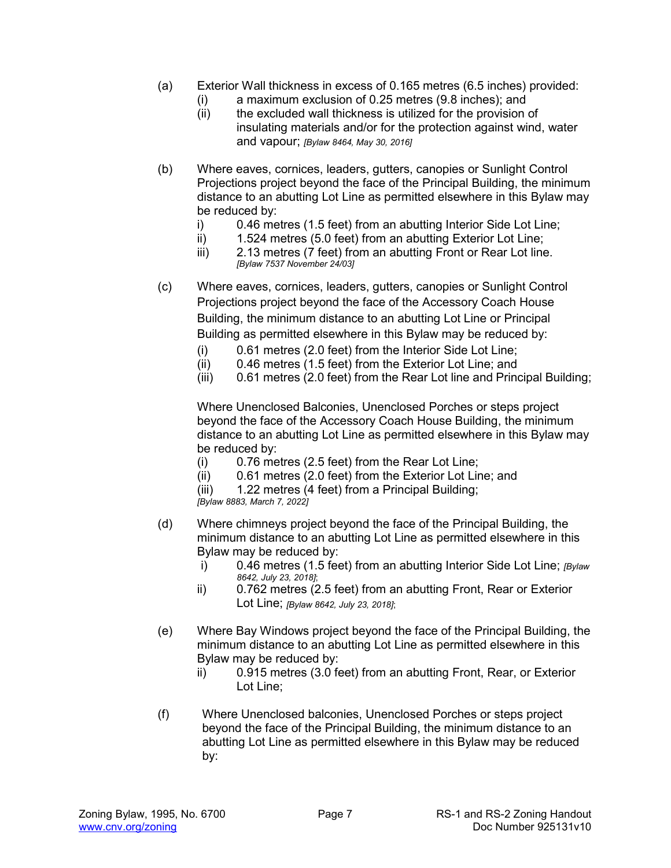- (a) Exterior Wall thickness in excess of 0.165 metres (6.5 inches) provided:
	- (i) a maximum exclusion of 0.25 metres (9.8 inches); and
	- (ii) the excluded wall thickness is utilized for the provision of insulating materials and/or for the protection against wind, water and vapour; *[Bylaw 8464, May 30, 2016]*
- (b) Where eaves, cornices, leaders, gutters, canopies or Sunlight Control Projections project beyond the face of the Principal Building, the minimum distance to an abutting Lot Line as permitted elsewhere in this Bylaw may be reduced by:
	- i) 0.46 metres (1.5 feet) from an abutting Interior Side Lot Line;
	- ii) 1.524 metres (5.0 feet) from an abutting Exterior Lot Line;
	- iii) 2.13 metres (7 feet) from an abutting Front or Rear Lot line. *[Bylaw 7537 November 24/03]*
- (c) Where eaves, cornices, leaders, gutters, canopies or Sunlight Control Projections project beyond the face of the Accessory Coach House Building, the minimum distance to an abutting Lot Line or Principal Building as permitted elsewhere in this Bylaw may be reduced by:
	- (i) 0.61 metres (2.0 feet) from the Interior Side Lot Line;
	- (ii) 0.46 metres (1.5 feet) from the Exterior Lot Line; and
	- (iii) 0.61 metres (2.0 feet) from the Rear Lot line and Principal Building;

Where Unenclosed Balconies, Unenclosed Porches or steps project beyond the face of the Accessory Coach House Building, the minimum distance to an abutting Lot Line as permitted elsewhere in this Bylaw may be reduced by:

- (i) 0.76 metres (2.5 feet) from the Rear Lot Line;
- (ii) 0.61 metres (2.0 feet) from the Exterior Lot Line; and
- (iii) 1.22 metres (4 feet) from a Principal Building;

*[Bylaw 8883, March 7, 2022]*

- (d) Where chimneys project beyond the face of the Principal Building, the minimum distance to an abutting Lot Line as permitted elsewhere in this Bylaw may be reduced by:
	- i) 0.46 metres (1.5 feet) from an abutting Interior Side Lot Line; *[Bylaw 8642, July 23, 2018]*;
	- ii) 0.762 metres (2.5 feet) from an abutting Front, Rear or Exterior Lot Line; *[Bylaw 8642, July 23, 2018]*;
- (e) Where Bay Windows project beyond the face of the Principal Building, the minimum distance to an abutting Lot Line as permitted elsewhere in this Bylaw may be reduced by:
	- ii) 0.915 metres (3.0 feet) from an abutting Front, Rear, or Exterior Lot Line;
- (f) Where Unenclosed balconies, Unenclosed Porches or steps project beyond the face of the Principal Building, the minimum distance to an abutting Lot Line as permitted elsewhere in this Bylaw may be reduced by: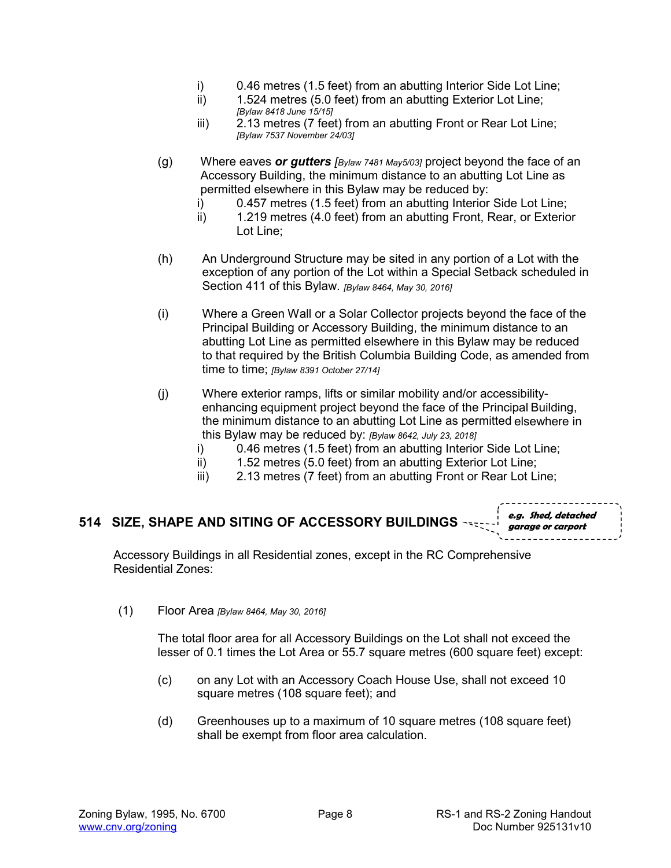- i)  $0.46$  metres (1.5 feet) from an abutting Interior Side Lot Line;<br>ii)  $1.524$  metres (5.0 feet) from an abutting Exterior Lot Line:
- 1.524 metres (5.0 feet) from an abutting Exterior Lot Line; *[Bylaw 8418 June 15/15]*
- iii) 2.13 metres (7 feet) from an abutting Front or Rear Lot Line; *[Bylaw 7537 November 24/03]*
- (g) Where eaves *or gutters [Bylaw 7481 May5/03]* project beyond the face of an Accessory Building, the minimum distance to an abutting Lot Line as permitted elsewhere in this Bylaw may be reduced by:
	- i) 0.457 metres (1.5 feet) from an abutting Interior Side Lot Line;
	- ii) 1.219 metres (4.0 feet) from an abutting Front, Rear, or Exterior Lot Line;
- (h) An Underground Structure may be sited in any portion of a Lot with the exception of any portion of the Lot within a Special Setback scheduled in Section 411 of this Bylaw. *[Bylaw 8464, May 30, 2016]*
- (i) Where a Green Wall or a Solar Collector projects beyond the face of the Principal Building or Accessory Building, the minimum distance to an abutting Lot Line as permitted elsewhere in this Bylaw may be reduced to that required by the British Columbia Building Code, as amended from time to time; *[Bylaw 8391 October 27/14]*
- (j) Where exterior ramps, lifts or similar mobility and/or accessibilityenhancing equipment project beyond the face of the Principal Building, the minimum distance to an abutting Lot Line as permitted elsewhere in this Bylaw may be reduced by: *[Bylaw 8642, July 23, 2018]*
	- i) 0.46 metres (1.5 feet) from an abutting Interior Side Lot Line;
	- ii) 1.52 metres (5.0 feet) from an abutting Exterior Lot Line;
	- iii) 2.13 metres (7 feet) from an abutting Front or Rear Lot Line;

#### **514 SIZE, SHAPE AND SITING OF ACCESSORY BUILDINGS e.g. Shed, detached garage or carport**

Accessory Buildings in all Residential zones, except in the RC Comprehensive Residential Zones:

(1) Floor Area *[Bylaw 8464, May 30, 2016]*

The total floor area for all Accessory Buildings on the Lot shall not exceed the lesser of 0.1 times the Lot Area or 55.7 square metres (600 square feet) except:

- (c) on any Lot with an Accessory Coach House Use, shall not exceed 10 square metres (108 square feet); and
- (d) Greenhouses up to a maximum of 10 square metres (108 square feet) shall be exempt from floor area calculation.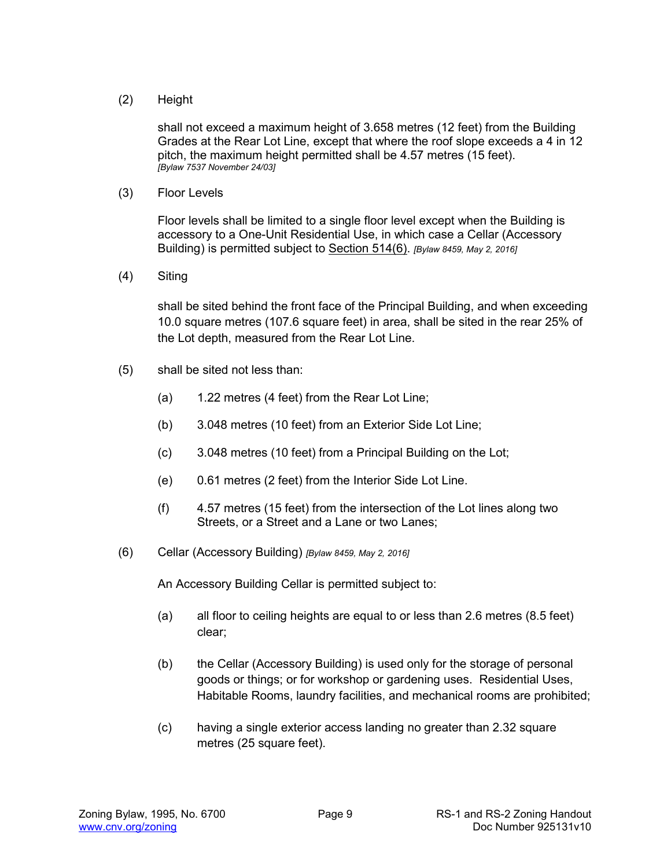#### (2) Height

shall not exceed a maximum height of 3.658 metres (12 feet) from the Building Grades at the Rear Lot Line, except that where the roof slope exceeds a 4 in 12 pitch, the maximum height permitted shall be 4.57 metres (15 feet). *[Bylaw 7537 November 24/03]* 

(3) Floor Levels

Floor levels shall be limited to a single floor level except when the Building is accessory to a One-Unit Residential Use, in which case a Cellar (Accessory Building) is permitted subject to Section 514(6). *[Bylaw 8459, May 2, 2016]*

(4) Siting

shall be sited behind the front face of the Principal Building, and when exceeding 10.0 square metres (107.6 square feet) in area, shall be sited in the rear 25% of the Lot depth, measured from the Rear Lot Line.

- (5) shall be sited not less than:
	- (a) 1.22 metres (4 feet) from the Rear Lot Line;
	- (b) 3.048 metres (10 feet) from an Exterior Side Lot Line;
	- (c) 3.048 metres (10 feet) from a Principal Building on the Lot;
	- (e) 0.61 metres (2 feet) from the Interior Side Lot Line.
	- (f) 4.57 metres (15 feet) from the intersection of the Lot lines along two Streets, or a Street and a Lane or two Lanes;
- (6) Cellar (Accessory Building) *[Bylaw 8459, May 2, 2016]*

An Accessory Building Cellar is permitted subject to:

- (a) all floor to ceiling heights are equal to or less than 2.6 metres (8.5 feet) clear;
- (b) the Cellar (Accessory Building) is used only for the storage of personal goods or things; or for workshop or gardening uses. Residential Uses, Habitable Rooms, laundry facilities, and mechanical rooms are prohibited;
- (c) having a single exterior access landing no greater than 2.32 square metres (25 square feet).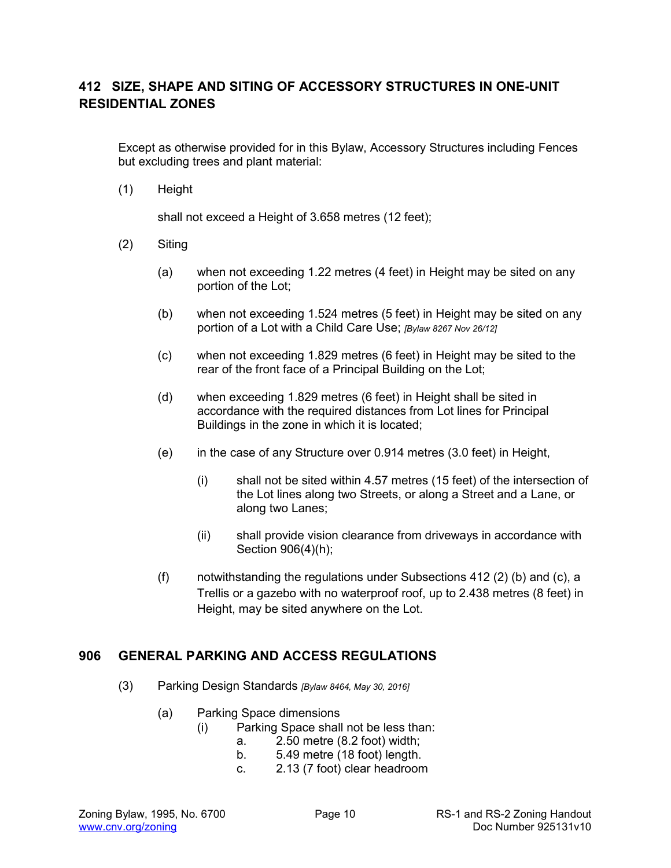# **412 SIZE, SHAPE AND SITING OF ACCESSORY STRUCTURES IN ONE-UNIT RESIDENTIAL ZONES**

Except as otherwise provided for in this Bylaw, Accessory Structures including Fences but excluding trees and plant material:

(1) Height

shall not exceed a Height of 3.658 metres (12 feet);

- (2) Siting
	- (a) when not exceeding 1.22 metres (4 feet) in Height may be sited on any portion of the Lot;
	- (b) when not exceeding 1.524 metres (5 feet) in Height may be sited on any portion of a Lot with a Child Care Use; *[Bylaw 8267 Nov 26/12]*
	- (c) when not exceeding 1.829 metres (6 feet) in Height may be sited to the rear of the front face of a Principal Building on the Lot;
	- (d) when exceeding 1.829 metres (6 feet) in Height shall be sited in accordance with the required distances from Lot lines for Principal Buildings in the zone in which it is located;
	- (e) in the case of any Structure over 0.914 metres (3.0 feet) in Height,
		- (i) shall not be sited within 4.57 metres (15 feet) of the intersection of the Lot lines along two Streets, or along a Street and a Lane, or along two Lanes;
		- (ii) shall provide vision clearance from driveways in accordance with Section 906(4)(h);
	- (f) notwithstanding the regulations under Subsections  $412$  (2) (b) and (c), a Trellis or a gazebo with no waterproof roof, up to 2.438 metres (8 feet) in Height, may be sited anywhere on the Lot.

### **906 GENERAL PARKING AND ACCESS REGULATIONS**

- (3) Parking Design Standards *[Bylaw 8464, May 30, 2016]*
	- (a) Parking Space dimensions
		- (i) Parking Space shall not be less than:
			- a. 2.50 metre (8.2 foot) width;
			- b. 5.49 metre (18 foot) length.
			- c. 2.13 (7 foot) clear headroom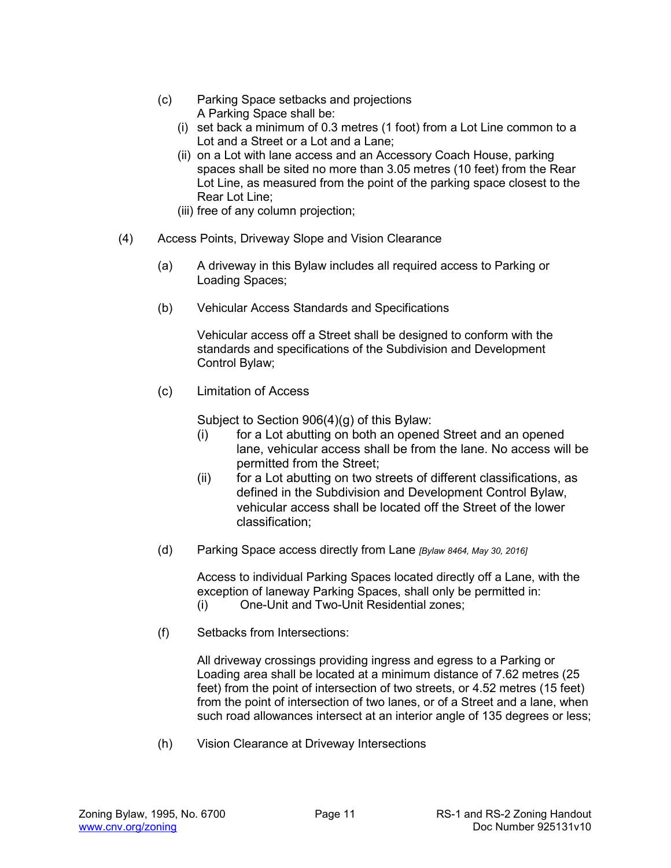- (c) Parking Space setbacks and projections A Parking Space shall be:
	- (i) set back a minimum of 0.3 metres (1 foot) from a Lot Line common to a Lot and a Street or a Lot and a Lane;
	- (ii) on a Lot with lane access and an Accessory Coach House, parking spaces shall be sited no more than 3.05 metres (10 feet) from the Rear Lot Line, as measured from the point of the parking space closest to the Rear Lot Line;
	- (iii) free of any column projection;
- (4) Access Points, Driveway Slope and Vision Clearance
	- (a) A driveway in this Bylaw includes all required access to Parking or Loading Spaces;
	- (b) Vehicular Access Standards and Specifications

Vehicular access off a Street shall be designed to conform with the standards and specifications of the Subdivision and Development Control Bylaw;

(c) Limitation of Access

Subject to Section 906(4)(g) of this Bylaw:

- (i) for a Lot abutting on both an opened Street and an opened lane, vehicular access shall be from the lane. No access will be permitted from the Street;
- (ii) for a Lot abutting on two streets of different classifications, as defined in the Subdivision and Development Control Bylaw, vehicular access shall be located off the Street of the lower classification;
- (d) Parking Space access directly from Lane *[Bylaw 8464, May 30, 2016]*

Access to individual Parking Spaces located directly off a Lane, with the exception of laneway Parking Spaces, shall only be permitted in: (i) One-Unit and Two-Unit Residential zones;

(f) Setbacks from Intersections:

All driveway crossings providing ingress and egress to a Parking or Loading area shall be located at a minimum distance of 7.62 metres (25 feet) from the point of intersection of two streets, or 4.52 metres (15 feet) from the point of intersection of two lanes, or of a Street and a lane, when such road allowances intersect at an interior angle of 135 degrees or less;

(h) Vision Clearance at Driveway Intersections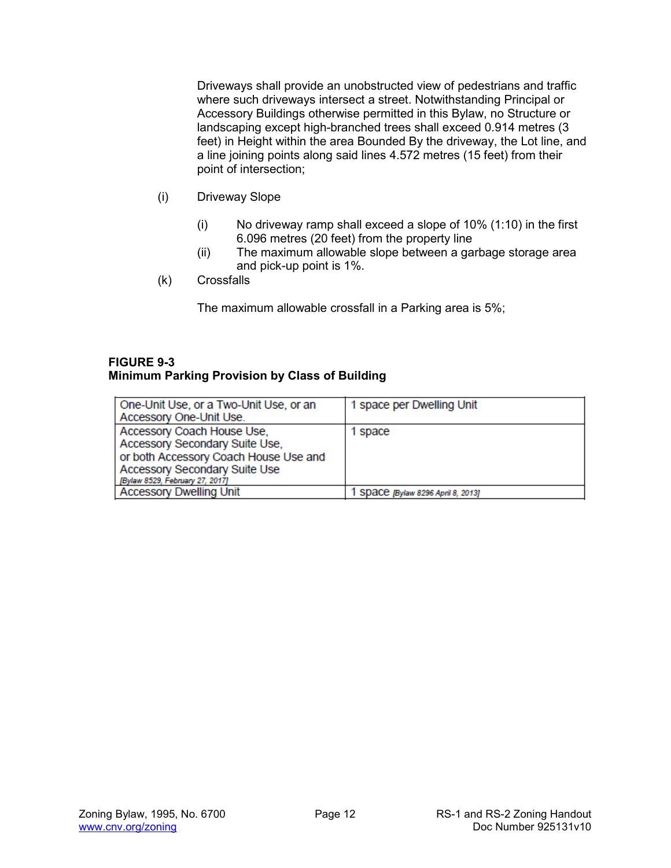Driveways shall provide an unobstructed view of pedestrians and traffic where such driveways intersect a street. Notwithstanding Principal or Accessory Buildings otherwise permitted in this Bylaw, no Structure or landscaping except high-branched trees shall exceed 0.914 metres (3 feet) in Height within the area Bounded By the driveway, the Lot line, and a line joining points along said lines 4.572 metres (15 feet) from their point of intersection;

- (i) Driveway Slope
	- $(i)$  No driveway ramp shall exceed a slope of 10%  $(1:10)$  in the first 6.096 metres (20 feet) from the property line
	- (ii) The maximum allowable slope between a garbage storage area and pick-up point is 1%.
- (k) Crossfalls

The maximum allowable crossfall in a Parking area is 5%;

#### **FIGURE 9-3 Minimum Parking Provision by Class of Building**

| One-Unit Use, or a Two-Unit Use, or an<br>Accessory One-Unit Use.                                                                                                         | 1 space per Dwelling Unit        |
|---------------------------------------------------------------------------------------------------------------------------------------------------------------------------|----------------------------------|
| Accessory Coach House Use,<br>Accessory Secondary Suite Use,<br>or both Accessory Coach House Use and<br>Accessory Secondary Suite Use<br>[Bylaw 8529, February 27, 2017] | 1 space                          |
| <b>Accessory Dwelling Unit</b>                                                                                                                                            | SDaCC [Bylaw 8296 April 8, 2013] |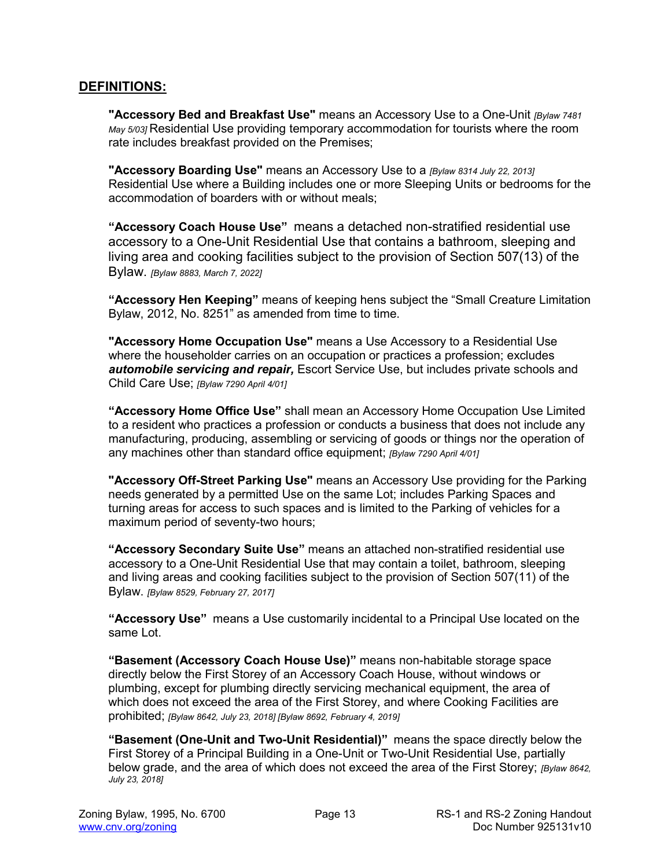#### **DEFINITIONS:**

**"Accessory Bed and Breakfast Use"** means an Accessory Use to a One*-*Unit *[Bylaw 7481 May 5/03]* Residential Use providing temporary accommodation for tourists where the room rate includes breakfast provided on the Premises;

**"Accessory Boarding Use"** means an Accessory Use to a *[Bylaw 8314 July 22, 2013]* Residential Use where a Building includes one or more Sleeping Units or bedrooms for the accommodation of boarders with or without meals;

**"Accessory Coach House Use"** means a detached non-stratified residential use accessory to a One-Unit Residential Use that contains a bathroom, sleeping and living area and cooking facilities subject to the provision of Section 507(13) of the Bylaw. *[Bylaw 8883, March 7, 2022]*

**"Accessory Hen Keeping"** means of keeping hens subject the "Small Creature Limitation Bylaw, 2012, No. 8251" as amended from time to time.

**"Accessory Home Occupation Use"** means a Use Accessory to a Residential Use where the householder carries on an occupation or practices a profession; excludes *automobile servicing and repair,* Escort Service Use, but includes private schools and Child Care Use; *[Bylaw 7290 April 4/01]*

**"Accessory Home Office Use"** shall mean an Accessory Home Occupation Use Limited to a resident who practices a profession or conducts a business that does not include any manufacturing, producing, assembling or servicing of goods or things nor the operation of any machines other than standard office equipment; *[Bylaw 7290 April 4/01]*

**"Accessory Off-Street Parking Use"** means an Accessory Use providing for the Parking needs generated by a permitted Use on the same Lot; includes Parking Spaces and turning areas for access to such spaces and is limited to the Parking of vehicles for a maximum period of seventy-two hours;

**"Accessory Secondary Suite Use"** means an attached non-stratified residential use accessory to a One-Unit Residential Use that may contain a toilet, bathroom, sleeping and living areas and cooking facilities subject to the provision of Section 507(11) of the Bylaw. *[Bylaw 8529, February 27, 2017]*

**"Accessory Use"** means a Use customarily incidental to a Principal Use located on the same Lot.

**"Basement (Accessory Coach House Use)"** means non-habitable storage space directly below the First Storey of an Accessory Coach House, without windows or plumbing, except for plumbing directly servicing mechanical equipment, the area of which does not exceed the area of the First Storey, and where Cooking Facilities are prohibited; *[Bylaw 8642, July 23, 2018] [Bylaw 8692, February 4, 2019]*

**"Basement (One-Unit and Two-Unit Residential)"** means the space directly below the First Storey of a Principal Building in a One-Unit or Two-Unit Residential Use, partially below grade, and the area of which does not exceed the area of the First Storey; *[Bylaw 8642, July 23, 2018]*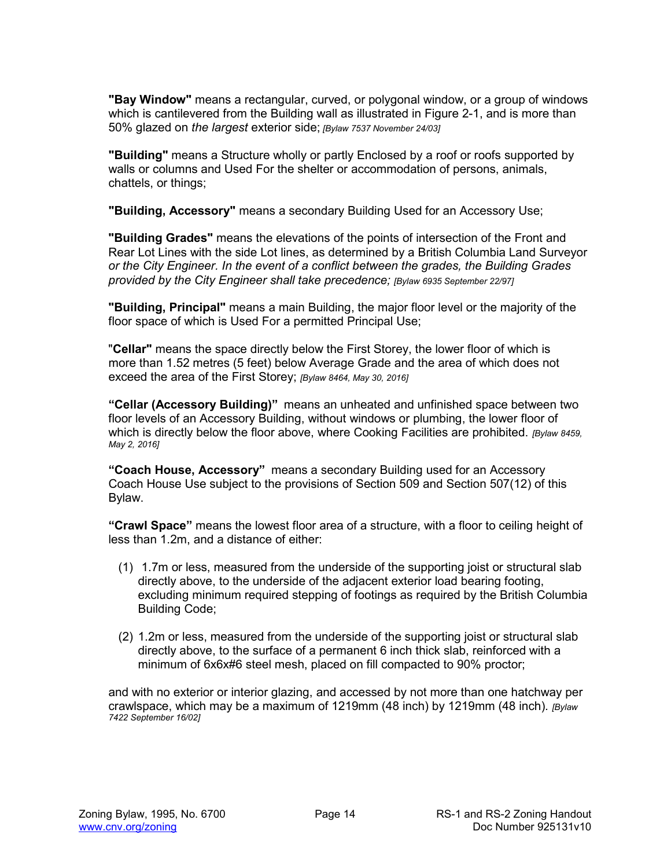**"Bay Window"** means a rectangular, curved, or polygonal window, or a group of windows which is cantilevered from the Building wall as illustrated in Figure 2-1, and is more than 50% glazed on *the largest* exterior side; *[Bylaw 7537 November 24/03]*

**"Building"** means a Structure wholly or partly Enclosed by a roof or roofs supported by walls or columns and Used For the shelter or accommodation of persons, animals, chattels, or things;

**"Building, Accessory"** means a secondary Building Used for an Accessory Use;

**"Building Grades"** means the elevations of the points of intersection of the Front and Rear Lot Lines with the side Lot lines, as determined by a British Columbia Land Surveyor *or the City Engineer. In the event of a conflict between the grades, the Building Grades provided by the City Engineer shall take precedence; [Bylaw 6935 September 22/97]*

**"Building, Principal"** means a main Building, the major floor level or the majority of the floor space of which is Used For a permitted Principal Use;

"**Cellar"** means the space directly below the First Storey, the lower floor of which is more than 1.52 metres (5 feet) below Average Grade and the area of which does not exceed the area of the First Storey; *[Bylaw 8464, May 30, 2016]*

**"Cellar (Accessory Building)"** means an unheated and unfinished space between two floor levels of an Accessory Building, without windows or plumbing, the lower floor of which is directly below the floor above, where Cooking Facilities are prohibited. *[Bylaw 8459, May 2, 2016]*

**"Coach House, Accessory"** means a secondary Building used for an Accessory Coach House Use subject to the provisions of Section 509 and Section 507(12) of this Bylaw.

**"Crawl Space"** means the lowest floor area of a structure, with a floor to ceiling height of less than 1.2m, and a distance of either:

- (1) 1.7m or less, measured from the underside of the supporting joist or structural slab directly above, to the underside of the adjacent exterior load bearing footing, excluding minimum required stepping of footings as required by the British Columbia Building Code;
- (2) 1.2m or less, measured from the underside of the supporting joist or structural slab directly above, to the surface of a permanent 6 inch thick slab, reinforced with a minimum of 6x6x#6 steel mesh, placed on fill compacted to 90% proctor;

and with no exterior or interior glazing, and accessed by not more than one hatchway per crawlspace, which may be a maximum of 1219mm (48 inch) by 1219mm (48 inch)*. [Bylaw 7422 September 16/02]*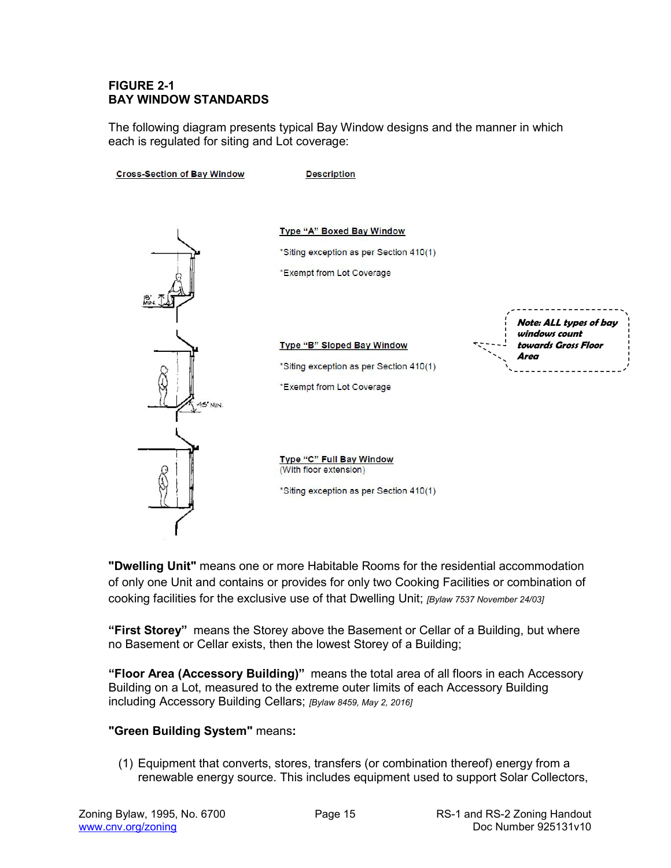#### **FIGURE 2-1 BAY WINDOW STANDARDS**

The following diagram presents typical Bay Window designs and the manner in which each is regulated for siting and Lot coverage:



**"Dwelling Unit"** means one or more Habitable Rooms for the residential accommodation of only one Unit and contains or provides for only two Cooking Facilities or combination of cooking facilities for the exclusive use of that Dwelling Unit; *[Bylaw 7537 November 24/03]*

**"First Storey"** means the Storey above the Basement or Cellar of a Building, but where no Basement or Cellar exists, then the lowest Storey of a Building;

**"Floor Area (Accessory Building)"** means the total area of all floors in each Accessory Building on a Lot, measured to the extreme outer limits of each Accessory Building including Accessory Building Cellars; *[Bylaw 8459, May 2, 2016]*

#### **"Green Building System"** means**:**

(1) Equipment that converts, stores, transfers (or combination thereof) energy from a renewable energy source. This includes equipment used to support Solar Collectors,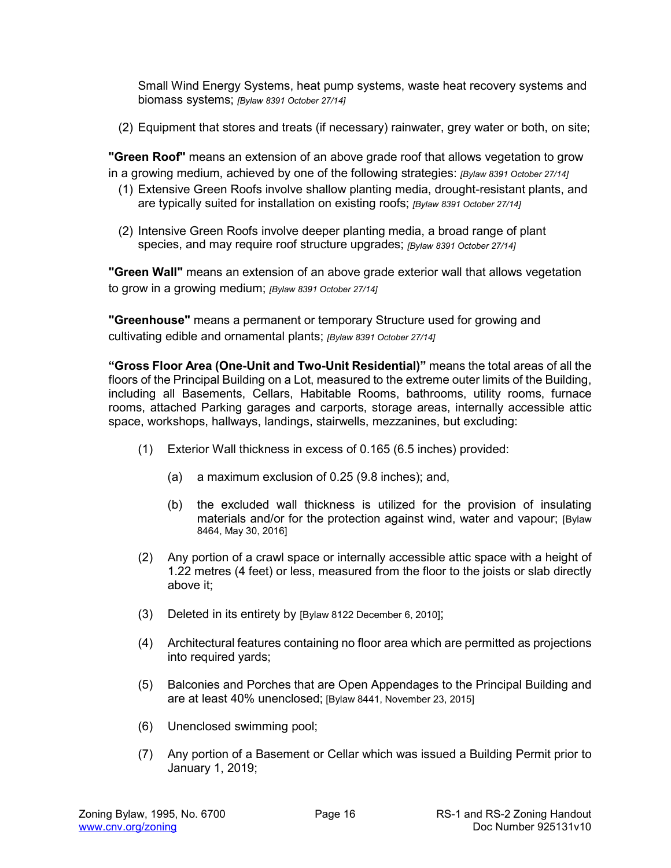Small Wind Energy Systems, heat pump systems, waste heat recovery systems and biomass systems; *[Bylaw 8391 October 27/14]*

(2) Equipment that stores and treats (if necessary) rainwater, grey water or both, on site;

**"Green Roof"** means an extension of an above grade roof that allows vegetation to grow in a growing medium, achieved by one of the following strategies: *[Bylaw 8391 October 27/14]*

- (1) Extensive Green Roofs involve shallow planting media, drought-resistant plants, and are typically suited for installation on existing roofs; *[Bylaw 8391 October 27/14]*
- (2) Intensive Green Roofs involve deeper planting media, a broad range of plant species, and may require roof structure upgrades; *[Bylaw 8391 October 27/14]*

**"Green Wall"** means an extension of an above grade exterior wall that allows vegetation to grow in a growing medium; *[Bylaw 8391 October 27/14]*

**"Greenhouse"** means a permanent or temporary Structure used for growing and cultivating edible and ornamental plants; *[Bylaw 8391 October 27/14]*

**"Gross Floor Area (One-Unit and Two-Unit Residential)"** means the total areas of all the floors of the Principal Building on a Lot, measured to the extreme outer limits of the Building, including all Basements, Cellars, Habitable Rooms, bathrooms, utility rooms, furnace rooms, attached Parking garages and carports, storage areas, internally accessible attic space, workshops, hallways, landings, stairwells, mezzanines, but excluding:

- (1) Exterior Wall thickness in excess of 0.165 (6.5 inches) provided:
	- (a) a maximum exclusion of 0.25 (9.8 inches); and,
	- (b) the excluded wall thickness is utilized for the provision of insulating materials and/or for the protection against wind, water and vapour; [Bylaw 8464, May 30, 2016]
- (2) Any portion of a crawl space or internally accessible attic space with a height of 1.22 metres (4 feet) or less, measured from the floor to the joists or slab directly above it;
- (3) Deleted in its entirety by [Bylaw 8122 December 6, 2010];
- (4) Architectural features containing no floor area which are permitted as projections into required yards;
- (5) Balconies and Porches that are Open Appendages to the Principal Building and are at least 40% unenclosed; [Bylaw 8441, November 23, 2015]
- (6) Unenclosed swimming pool;
- (7) Any portion of a Basement or Cellar which was issued a Building Permit prior to January 1, 2019;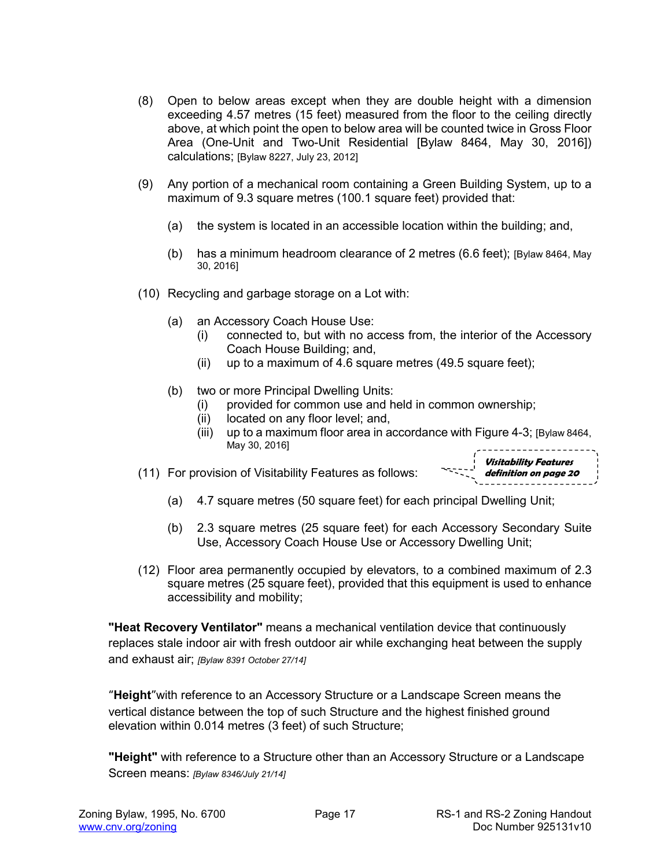- (8) Open to below areas except when they are double height with a dimension exceeding 4.57 metres (15 feet) measured from the floor to the ceiling directly above, at which point the open to below area will be counted twice in Gross Floor Area (One-Unit and Two-Unit Residential [Bylaw 8464, May 30, 2016]) calculations; [Bylaw 8227, July 23, 2012]
- (9) Any portion of a mechanical room containing a Green Building System, up to a maximum of 9.3 square metres (100.1 square feet) provided that:
	- (a) the system is located in an accessible location within the building; and,
	- (b) has a minimum headroom clearance of 2 metres (6.6 feet); [Bylaw 8464, May 30, 2016]
- (10) Recycling and garbage storage on a Lot with:
	- (a) an Accessory Coach House Use:
		- (i) connected to, but with no access from, the interior of the Accessory Coach House Building; and,
		- (ii) up to a maximum of 4.6 square metres (49.5 square feet);
	- (b) two or more Principal Dwelling Units:
		- (i) provided for common use and held in common ownership;
		- (ii) located on any floor level; and,
		- (iii) up to a maximum floor area in accordance with Figure 4-3; [Bylaw 8464, May 30, 2016]
- (11) For provision of Visitability Features as follows:
	- (a) 4.7 square metres (50 square feet) for each principal Dwelling Unit;
	- (b) 2.3 square metres (25 square feet) for each Accessory Secondary Suite Use, Accessory Coach House Use or Accessory Dwelling Unit;
- (12) Floor area permanently occupied by elevators, to a combined maximum of 2.3 square metres (25 square feet), provided that this equipment is used to enhance accessibility and mobility;

**"Heat Recovery Ventilator"** means a mechanical ventilation device that continuously replaces stale indoor air with fresh outdoor air while exchanging heat between the supply and exhaust air; *[Bylaw 8391 October 27/14]*

**"Height"**with reference to an Accessory Structure or a Landscape Screen means the vertical distance between the top of such Structure and the highest finished ground elevation within 0.014 metres (3 feet) of such Structure;

**"Height"** with reference to a Structure other than an Accessory Structure or a Landscape Screen means: *[Bylaw 8346/July 21/14]*

**Visitability Features definition on page 20**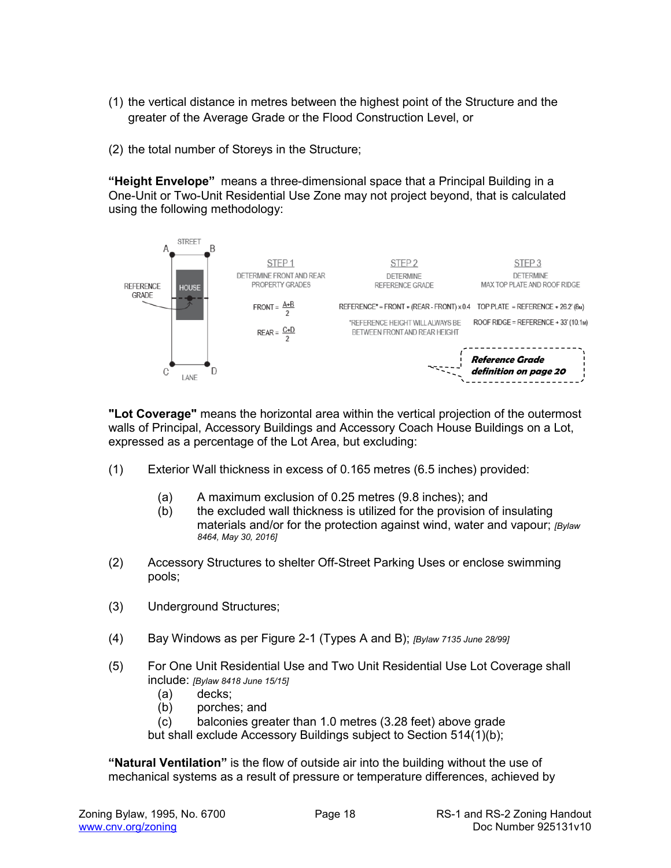- (1) the vertical distance in metres between the highest point of the Structure and the greater of the Average Grade or the Flood Construction Level, or
- (2) the total number of Storeys in the Structure;

**"Height Envelope"** means a three-dimensional space that a Principal Building in a One-Unit or Two-Unit Residential Use Zone may not project beyond, that is calculated using the following methodology:



**"Lot Coverage"** means the horizontal area within the vertical projection of the outermost walls of Principal, Accessory Buildings and Accessory Coach House Buildings on a Lot, expressed as a percentage of the Lot Area, but excluding:

- (1) Exterior Wall thickness in excess of 0.165 metres (6.5 inches) provided:
	- (a) A maximum exclusion of 0.25 metres (9.8 inches); and
	- (b) the excluded wall thickness is utilized for the provision of insulating materials and/or for the protection against wind, water and vapour; *[Bylaw 8464, May 30, 2016]*
- (2) Accessory Structures to shelter Off-Street Parking Uses or enclose swimming pools;
- (3) Underground Structures;
- (4) Bay Windows as per Figure 2-1 (Types A and B); *[Bylaw 7135 June 28/99]*
- (5) For One Unit Residential Use and Two Unit Residential Use Lot Coverage shall include: *[Bylaw 8418 June 15/15]*
	- (a) decks;
	- (b) porches; and
	- (c) balconies greater than 1.0 metres (3.28 feet) above grade

but shall exclude Accessory Buildings subject to Section 514(1)(b);

**"Natural Ventilation"** is the flow of outside air into the building without the use of mechanical systems as a result of pressure or temperature differences, achieved by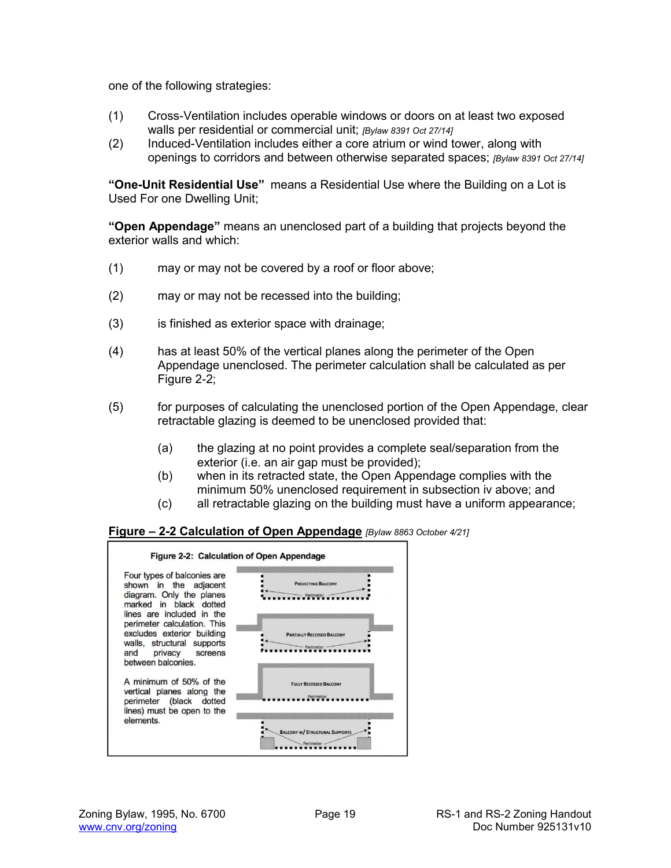one of the following strategies:

- (1) Cross-Ventilation includes operable windows or doors on at least two exposed walls per residential or commercial unit; *[Bylaw 8391 Oct 27/14]*
- (2) Induced-Ventilation includes either a core atrium or wind tower, along with openings to corridors and between otherwise separated spaces; *[Bylaw 8391 Oct 27/14]*

**"One-Unit Residential Use"** means a Residential Use where the Building on a Lot is Used For one Dwelling Unit;

**"Open Appendage"** means an unenclosed part of a building that projects beyond the exterior walls and which:

- (1) may or may not be covered by a roof or floor above;
- (2) may or may not be recessed into the building;
- (3) is finished as exterior space with drainage;
- (4) has at least 50% of the vertical planes along the perimeter of the Open Appendage unenclosed. The perimeter calculation shall be calculated as per Figure 2-2;
- (5) for purposes of calculating the unenclosed portion of the Open Appendage, clear retractable glazing is deemed to be unenclosed provided that:
	- (a) the glazing at no point provides a complete seal/separation from the exterior (i.e. an air gap must be provided);
	- (b) when in its retracted state, the Open Appendage complies with the minimum 50% unenclosed requirement in subsection iv above; and
	- (c) all retractable glazing on the building must have a uniform appearance;

#### **Figure – 2-2 Calculation of Open Appendage** *[Bylaw 8863 October 4/21]*

|                                                                                                                                             | Figure 2-2: Calculation of Open Appendage         |
|---------------------------------------------------------------------------------------------------------------------------------------------|---------------------------------------------------|
| Four types of balconies are<br>shown in the adjacent<br>diagram. Only the planes<br>marked in black dotted                                  | <b>PROJECTING BALCONY</b><br>Perimeter            |
| lines are included in the<br>perimeter calculation. This<br>excludes exterior building<br>walls, structural supports<br>and privacy screens | <b>PARTIALLY RECESSED BALCONY</b><br>Perimete     |
| between balconies.<br>A minimum of 50% of the<br>vertical planes along the<br>perimeter (black dotted                                       | <b>FULLY RECESSED BALCONY</b><br>Perimeter        |
| lines) must be open to the<br>elements.                                                                                                     | <b>BALCONY W/ STRUCTURAL SUPPORTS</b><br>Perimete |